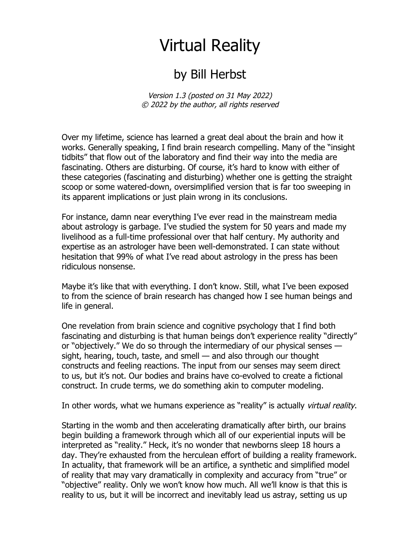## Virtual Reality

## by Bill Herbst

Version 1.3 (posted on 31 May 2022) © 2022 by the author, all rights reserved

Over my lifetime, science has learned a great deal about the brain and how it works. Generally speaking, I find brain research compelling. Many of the "insight tidbits" that flow out of the laboratory and find their way into the media are fascinating. Others are disturbing. Of course, it's hard to know with either of these categories (fascinating and disturbing) whether one is getting the straight scoop or some watered-down, oversimplified version that is far too sweeping in its apparent implications or just plain wrong in its conclusions.

For instance, damn near everything I've ever read in the mainstream media about astrology is garbage. I've studied the system for 50 years and made my livelihood as a full-time professional over that half century. My authority and expertise as an astrologer have been well-demonstrated. I can state without hesitation that 99% of what I've read about astrology in the press has been ridiculous nonsense.

Maybe it's like that with everything. I don't know. Still, what I've been exposed to from the science of brain research has changed how I see human beings and life in general.

One revelation from brain science and cognitive psychology that I find both fascinating and disturbing is that human beings don't experience reality "directly" or "objectively." We do so through the intermediary of our physical senses sight, hearing, touch, taste, and smell — and also through our thought constructs and feeling reactions. The input from our senses may seem direct to us, but it's not. Our bodies and brains have co-evolved to create a fictional construct. In crude terms, we do something akin to computer modeling.

In other words, what we humans experience as "reality" is actually virtual reality.

Starting in the womb and then accelerating dramatically after birth, our brains begin building a framework through which all of our experiential inputs will be interpreted as "reality." Heck, it's no wonder that newborns sleep 18 hours a day. They're exhausted from the herculean effort of building a reality framework. In actuality, that framework will be an artifice, a synthetic and simplified model of reality that may vary dramatically in complexity and accuracy from "true" or "objective" reality. Only we won't know how much. All we'll know is that this is reality to us, but it will be incorrect and inevitably lead us astray, setting us up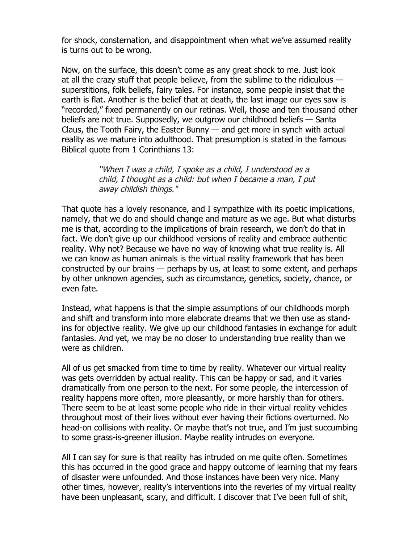for shock, consternation, and disappointment when what we've assumed reality is turns out to be wrong.

Now, on the surface, this doesn't come as any great shock to me. Just look at all the crazy stuff that people believe, from the sublime to the ridiculous superstitions, folk beliefs, fairy tales. For instance, some people insist that the earth is flat. Another is the belief that at death, the last image our eyes saw is "recorded," fixed permanently on our retinas. Well, those and ten thousand other beliefs are not true. Supposedly, we outgrow our childhood beliefs — Santa Claus, the Tooth Fairy, the Easter Bunny — and get more in synch with actual reality as we mature into adulthood. That presumption is stated in the famous Biblical quote from 1 Corinthians 13:

> "When I was a child, I spoke as a child, I understood as a child, I thought as a child: but when I became a man, I put away childish things."

That quote has a lovely resonance, and I sympathize with its poetic implications, namely, that we do and should change and mature as we age. But what disturbs me is that, according to the implications of brain research, we don't do that in fact. We don't give up our childhood versions of reality and embrace authentic reality. Why not? Because we have no way of knowing what true reality is. All we can know as human animals is the virtual reality framework that has been constructed by our brains — perhaps by us, at least to some extent, and perhaps by other unknown agencies, such as circumstance, genetics, society, chance, or even fate.

Instead, what happens is that the simple assumptions of our childhoods morph and shift and transform into more elaborate dreams that we then use as standins for objective reality. We give up our childhood fantasies in exchange for adult fantasies. And yet, we may be no closer to understanding true reality than we were as children.

All of us get smacked from time to time by reality. Whatever our virtual reality was gets overridden by actual reality. This can be happy or sad, and it varies dramatically from one person to the next. For some people, the intercession of reality happens more often, more pleasantly, or more harshly than for others. There seem to be at least some people who ride in their virtual reality vehicles throughout most of their lives without ever having their fictions overturned. No head-on collisions with reality. Or maybe that's not true, and I'm just succumbing to some grass-is-greener illusion. Maybe reality intrudes on everyone.

All I can say for sure is that reality has intruded on me quite often. Sometimes this has occurred in the good grace and happy outcome of learning that my fears of disaster were unfounded. And those instances have been very nice. Many other times, however, reality's interventions into the reveries of my virtual reality have been unpleasant, scary, and difficult. I discover that I've been full of shit,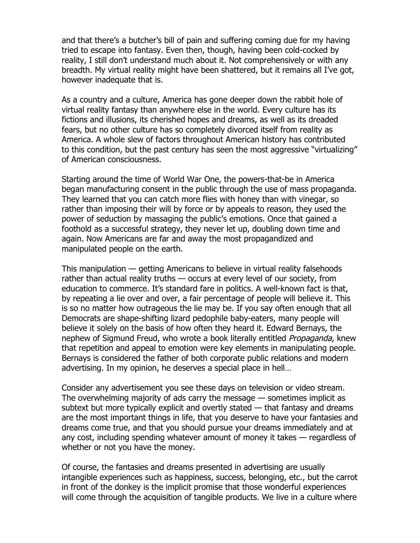and that there's a butcher's bill of pain and suffering coming due for my having tried to escape into fantasy. Even then, though, having been cold-cocked by reality, I still don't understand much about it. Not comprehensively or with any breadth. My virtual reality might have been shattered, but it remains all I've got, however inadequate that is.

As a country and a culture, America has gone deeper down the rabbit hole of virtual reality fantasy than anywhere else in the world. Every culture has its fictions and illusions, its cherished hopes and dreams, as well as its dreaded fears, but no other culture has so completely divorced itself from reality as America. A whole slew of factors throughout American history has contributed to this condition, but the past century has seen the most aggressive "virtualizing" of American consciousness.

Starting around the time of World War One, the powers-that-be in America began manufacturing consent in the public through the use of mass propaganda. They learned that you can catch more flies with honey than with vinegar, so rather than imposing their will by force or by appeals to reason, they used the power of seduction by massaging the public's emotions. Once that gained a foothold as a successful strategy, they never let up, doubling down time and again. Now Americans are far and away the most propagandized and manipulated people on the earth.

This manipulation — getting Americans to believe in virtual reality falsehoods rather than actual reality truths — occurs at every level of our society, from education to commerce. It's standard fare in politics. A well-known fact is that, by repeating a lie over and over, a fair percentage of people will believe it. This is so no matter how outrageous the lie may be. If you say often enough that all Democrats are shape-shifting lizard pedophile baby-eaters, many people will believe it solely on the basis of how often they heard it. Edward Bernays, the nephew of Sigmund Freud, who wrote a book literally entitled Propaganda, knew that repetition and appeal to emotion were key elements in manipulating people. Bernays is considered the father of both corporate public relations and modern advertising. In my opinion, he deserves a special place in hell…

Consider any advertisement you see these days on television or video stream. The overwhelming majority of ads carry the message — sometimes implicit as subtext but more typically explicit and overtly stated — that fantasy and dreams are the most important things in life, that you deserve to have your fantasies and dreams come true, and that you should pursue your dreams immediately and at any cost, including spending whatever amount of money it takes — regardless of whether or not you have the money.

Of course, the fantasies and dreams presented in advertising are usually intangible experiences such as happiness, success, belonging, etc., but the carrot in front of the donkey is the implicit promise that those wonderful experiences will come through the acquisition of tangible products. We live in a culture where